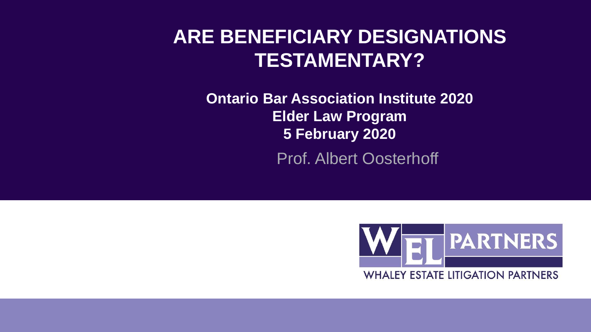#### **ARE BENEFICIARY DESIGNATIONS TESTAMENTARY?**

**Ontario Bar Association Institute 2020 Elder Law Program 5 February 2020** Prof. Albert Oosterhoff

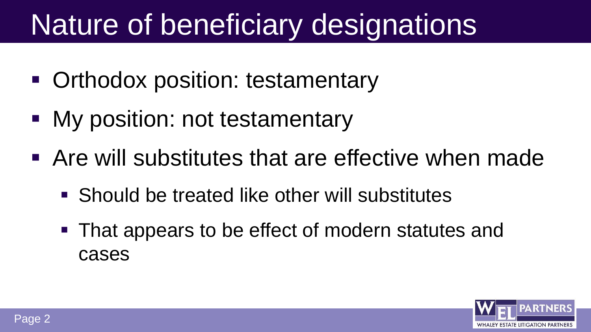# Nature of beneficiary designations

- **Orthodox position: testamentary**
- My position: not testamentary
- Are will substitutes that are effective when made
	- Should be treated like other will substitutes
	- **That appears to be effect of modern statutes and** cases

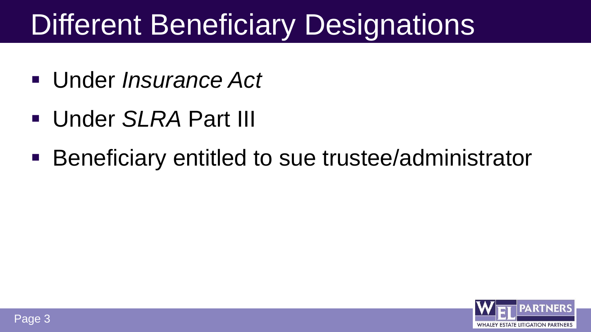# Different Beneficiary Designations

- Under *Insurance Act*
- Under *SLRA* Part III
- Beneficiary entitled to sue trustee/administrator

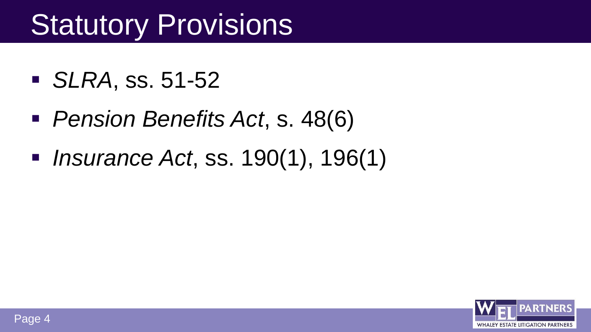# **Statutory Provisions**

- *SLRA*, ss. 51-52
- *Pension Benefits Act*, s. 48(6)
- *Insurance Act*, ss. 190(1), 196(1)

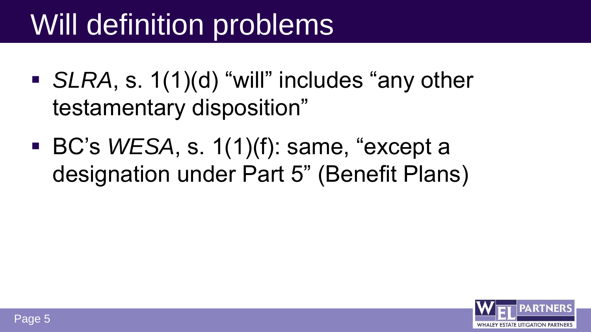# Will definition problems

- *SLRA*, s. 1(1)(d) "will" includes "any other testamentary disposition"
- BC's *WESA*, s. 1(1)(f): same, "except a designation under Part 5" (Benefit Plans)

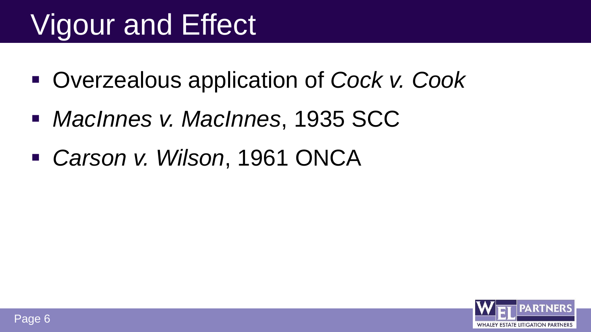# Vigour and Effect

- Overzealous application of *Cock v. Cook*
- *MacInnes v. MacInnes*, 1935 SCC
- *Carson v. Wilson*, 1961 ONCA

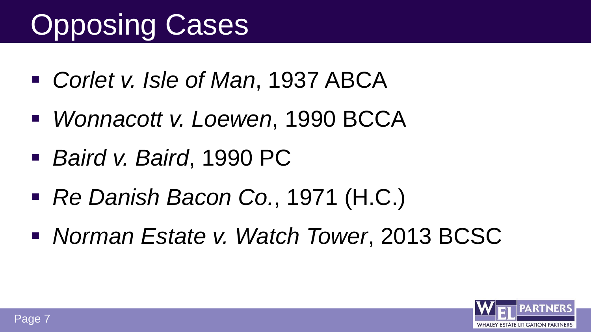# Opposing Cases

- *Corlet v. Isle of Man*, 1937 ABCA
- *Wonnacott v. Loewen*, 1990 BCCA
- *Baird v. Baird*, 1990 PC
- *Re Danish Bacon Co.*, 1971 (H.C.)
- *Norman Estate v. Watch Tower*, 2013 BCSC

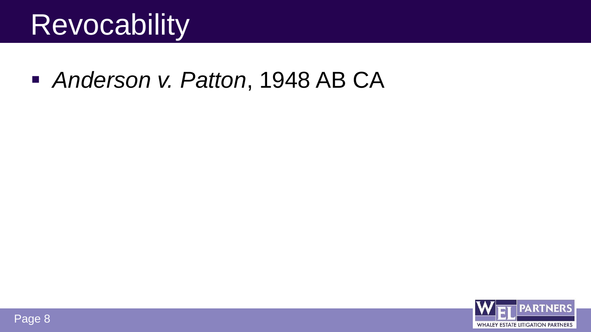### **Revocability**

*Anderson v. Patton*, 1948 AB CA

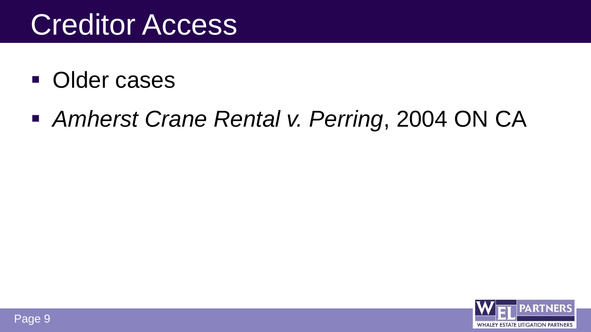## **Creditor Access**

- Older cases
- *Amherst Crane Rental v. Perring*, 2004 ON CA

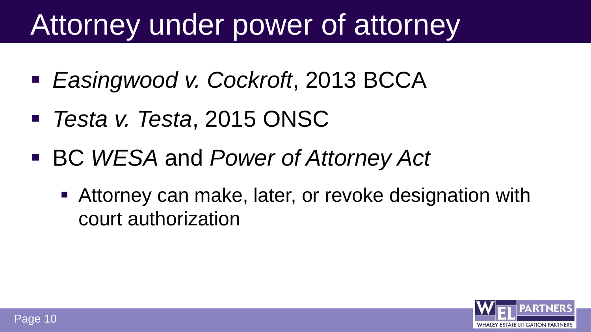# Attorney under power of attorney

- *Easingwood v. Cockroft*, 2013 BCCA
- *Testa v. Testa*, 2015 ONSC
- BC *WESA* and *Power of Attorney Act*
	- Attorney can make, later, or revoke designation with court authorization